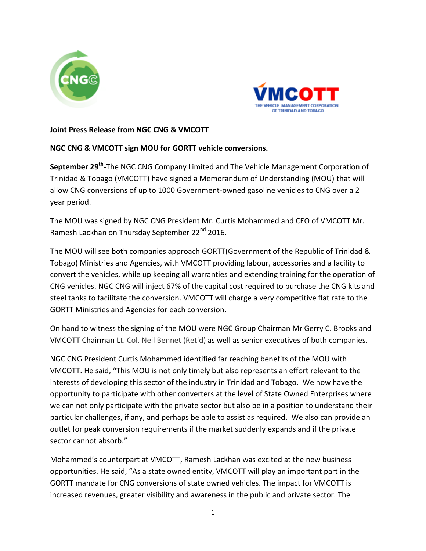



## **Joint Press Release from NGC CNG & VMCOTT**

## **NGC CNG & VMCOTT sign MOU for GORTT vehicle conversions.**

**September 29<sup>th</sup>-The NGC CNG Company Limited and The Vehicle Management Corporation of** Trinidad & Tobago (VMCOTT) have signed a Memorandum of Understanding (MOU) that will allow CNG conversions of up to 1000 Government-owned gasoline vehicles to CNG over a 2 year period.

The MOU was signed by NGC CNG President Mr. Curtis Mohammed and CEO of VMCOTT Mr. Ramesh Lackhan on Thursday September 22<sup>nd</sup> 2016.

The MOU will see both companies approach GORTT(Government of the Republic of Trinidad & Tobago) Ministries and Agencies, with VMCOTT providing labour, accessories and a facility to convert the vehicles, while up keeping all warranties and extending training for the operation of CNG vehicles. NGC CNG will inject 67% of the capital cost required to purchase the CNG kits and steel tanks to facilitate the conversion. VMCOTT will charge a very competitive flat rate to the GORTT Ministries and Agencies for each conversion.

On hand to witness the signing of the MOU were NGC Group Chairman Mr Gerry C. Brooks and VMCOTT Chairman Lt. Col. Neil Bennet (Ret'd) as well as senior executives of both companies.

NGC CNG President Curtis Mohammed identified far reaching benefits of the MOU with VMCOTT. He said, "This MOU is not only timely but also represents an effort relevant to the interests of developing this sector of the industry in Trinidad and Tobago. We now have the opportunity to participate with other converters at the level of State Owned Enterprises where we can not only participate with the private sector but also be in a position to understand their particular challenges, if any, and perhaps be able to assist as required. We also can provide an outlet for peak conversion requirements if the market suddenly expands and if the private sector cannot absorb."

Mohammed's counterpart at VMCOTT, Ramesh Lackhan was excited at the new business opportunities. He said, "As a state owned entity, VMCOTT will play an important part in the GORTT mandate for CNG conversions of state owned vehicles. The impact for VMCOTT is increased revenues, greater visibility and awareness in the public and private sector. The